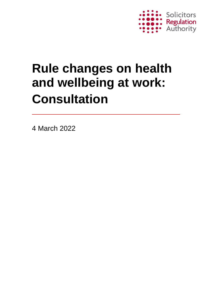

# **Rule changes on health and wellbeing at work: Consultation**

4 March 2022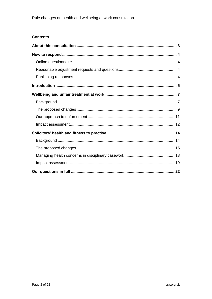#### **Contents**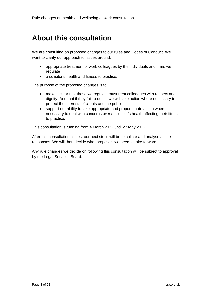# <span id="page-2-0"></span>**About this consultation**

We are consulting on proposed changes to our rules and Codes of Conduct. We want to clarify our approach to issues around:

- appropriate treatment of work colleagues by the individuals and firms we regulate
- a solicitor's health and fitness to practise.

The purpose of the proposed changes is to:

- make it clear that those we regulate must treat colleagues with respect and dignity. And that if they fail to do so, we will take action where necessary to protect the interests of clients and the public
- support our ability to take appropriate and proportionate action where necessary to deal with concerns over a solicitor's health affecting their fitness to practise.

This consultation is running from 4 March 2022 until 27 May 2022.

After this consultation closes, our next steps will be to collate and analyse all the responses. We will then decide what proposals we need to take forward.

Any rule changes we decide on following this consultation will be subject to approval by the Legal Services Board.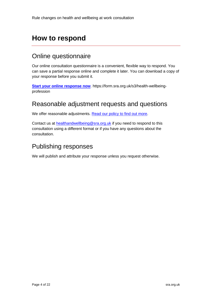# <span id="page-3-0"></span>**How to respond**

### <span id="page-3-1"></span>Online questionnaire

Our online consultation questionnaire is a convenient, flexible way to respond. You can save a partial response online and complete it later. You can download a copy of your response before you submit it.

**[Start your online response now](https://form.sra.org.uk/s3/health-wellbeing-profession)**. https://form.sra.org.uk/s3/health-wellbeingprofession

### <span id="page-3-2"></span>Reasonable adjustment requests and questions

We offer reasonable adjustments. [Read our policy to find out more.](http://www.sra.org.uk/sra/reasonable-adjustment-policy.page)

Contact us at [healthandwellbeing@sra.org.uk](mailto:healthandwellbeing@sra.org.uk) if you need to respond to this consultation using a different format or if you have any questions about the consultation.

### <span id="page-3-3"></span>Publishing responses

We will publish and attribute your response unless you request otherwise.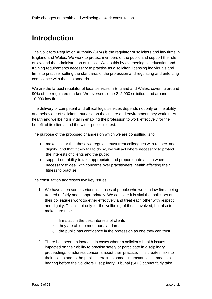# <span id="page-4-0"></span>**Introduction**

The Solicitors Regulation Authority (SRA) is the regulator of solicitors and law firms in England and Wales. We work to protect members of the public and support the rule of law and the administration of justice. We do this by overseeing all education and training requirements necessary to practise as a solicitor, licensing individuals and firms to practise, setting the standards of the profession and regulating and enforcing compliance with these standards.

We are the largest regulator of legal services in England and Wales, covering around 90% of the regulated market. We oversee some 212,000 solicitors and around 10,000 law firms.

The delivery of competent and ethical legal services depends not only on the ability and behaviour of solicitors, but also on the culture and environment they work in. And health and wellbeing is vital in enabling the profession to work effectively for the benefit of its clients and the wider public interest.

The purpose of the proposed changes on which we are consulting is to:

- make it clear that those we regulate must treat colleagues with respect and dignity, and that if they fail to do so, we will act where necessary to protect the interests of clients and the public
- support our ability to take appropriate and proportionate action where necessary to deal with concerns over practitioners' health affecting their fitness to practise.

The consultation addresses two key issues:

- 1. We have seen some serious instances of people who work in law firms being treated unfairly and inappropriately. We consider it is vital that solicitors and their colleagues work together effectively and treat each other with respect and dignity. This is not only for the wellbeing of those involved, but also to make sure that:
	- $\circ$  firms act in the best interests of clients
	- o they are able to meet our standards
	- $\circ$  the public has confidence in the profession as one they can trust.
- 2. There has been an increase in cases where a solicitor's health issues impacted on their ability to practise safely or participate in disciplinary proceedings to address concerns about their practice. This creates risks to their clients and to the public interest. In some circumstances, it means a hearing before the Solicitors Disciplinary Tribunal (SDT) cannot fairly take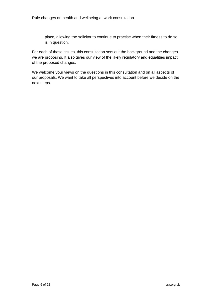place, allowing the solicitor to continue to practise when their fitness to do so is in question.

For each of these issues, this consultation sets out the background and the changes we are proposing. It also gives our view of the likely regulatory and equalities impact of the proposed changes.

We welcome your views on the questions in this consultation and on all aspects of our proposals. We want to take all perspectives into account before we decide on the next steps.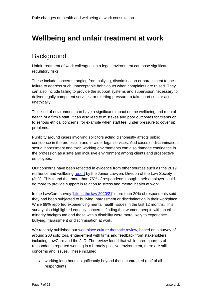# <span id="page-6-0"></span>**Wellbeing and unfair treatment at work**

### <span id="page-6-1"></span>**Background**

Unfair treatment of work colleagues in a legal environment can pose significant regulatory risks.

These include concerns ranging from bullying, discrimination or harassment to the failure to address such unacceptable behaviours when complaints are raised. They can also include failing to provide the support systems and supervision necessary to deliver legally competent services, or exerting pressure to take short cuts or act unethically.

This kind of environment can have a significant impact on the wellbeing and mental health of a firm's staff. It can also lead to mistakes and poor outcomes for clients or to serious ethical concerns, for example when staff feel under pressure to cover up problems.

Publicity around cases involving solicitors acting dishonestly affects public confidence in the profession and in wider legal services. And cases of discrimination, sexual harassment and toxic working environments can also damage confidence in the profession as a safe and inclusive environment among clients and prospective employees.

Our concerns have been reflected in evidence from other sources such as the 2019 resilience and wellbeing [report](https://communities.lawsociety.org.uk/Uploads/b/y/k/resilience-wellbeing-survey-report-2019.pdf) by the Junior Lawyers Division of the Law Society (JLD). This found that more than 75% of respondents thought their employer could do more to provide support in relation to stress and mental health at work.

In the LawCare survey ['Life in the law 2020/21'](https://www.lawcare.org.uk/media/14vhquzz/lawcare-lifeinthelaw-v6-final.pdf) more than 20% of respondents said they had been subjected to bullying, harassment or discrimination in their workplace. While 69% reported experiencing mental health issues in the last 12 months. This survey also highlighted equality concerns, finding that women, people with an ethnic minority background and those with a disability were more likely to experience bullying, harassment or discrimination at work.

We recently published our [workplace culture thematic review,](https://www.sra.org.uk/sra/research-report/workplace-culture-thematic-review/) based on a survey of around 200 solicitors, engagement with firms and feedback from stakeholders including LawCare and the JLD. The review found that while three quarters of respondents reported working in a broadly positive environment, there are still concerns and issues. These included:

• working long hours, significantly beyond those contracted (half of all respondents)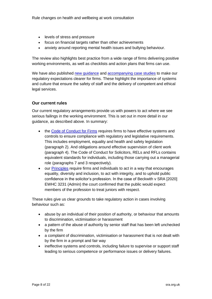- levels of stress and pressure
- focus on financial targets rather than other achievements
- anxiety around reporting mental health issues and bullying behaviour.

The review also highlights best practice from a wide range of firms delivering positive working environments, as well as checklists and action plans that firms can use.

We have also published new quidance and [accompanying case studies](https://www.sra.org.uk/solicitors/guidance/workplace-environment-case-studies/) to make our regulatory expectations clearer for firms. These highlight the importance of systems and culture that ensure the safety of staff and the delivery of competent and ethical legal services.

#### **Our current rules**

Our current regulatory arrangements provide us with powers to act where we see serious failings in the working environment. This is set out in more detail in our guidance, as described above. In summary:

- the [Code of Conduct for Firms](https://www.sra.org.uk/solicitors/standards-regulations/code-conduct-firms/) requires firms to have effective systems and controls to ensure compliance with regulatory and legislative requirements. This includes employment, equality and health and safety legislation (paragraph 2). And obligations around effective supervision of client work (paragraph 4). The Code of Conduct for Solicitors, RELs and RFLs contains equivalent standards for individuals, including those carrying out a managerial role (paragraphs 7 and 3 respectively).
- our [Principles](https://www.sra.org.uk/solicitors/standards-regulations/principles/) require firms and individuals to act in a way that encourages equality, diversity and inclusion, to act with integrity, and to uphold public confidence in the solicitor's profession. In the case of Beckwith v SRA [2020] EWHC 3231 (Admin) the court confirmed that the public would expect members of the profession to treat juniors with respect.

These rules give us clear grounds to take regulatory action in cases involving behaviour such as:

- abuse by an individual of their position of authority, or behaviour that amounts to discrimination, victimisation or harassment
- a pattern of the abuse of authority by senior staff that has been left unchecked by the firm
- a complaint of discrimination, victimisation or harassment that is not dealt with by the firm in a prompt and fair way
- ineffective systems and controls, including failure to supervise or support staff leading to serious competence or performance issues or delivery failures.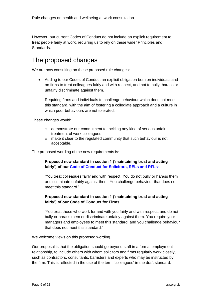However, our current Codes of Conduct do not include an explicit requirement to treat people fairly at work, requiring us to rely on these wider Principles and Standards.

### <span id="page-8-0"></span>The proposed changes

We are now consulting on these proposed rule changes:

• Adding to our Codes of Conduct an explicit obligation both on individuals and on firms to treat colleagues fairly and with respect, and not to bully, harass or unfairly discriminate against them.

Requiring firms and individuals to challenge behaviour which does not meet this standard, with the aim of fostering a collegiate approach and a culture in which poor behaviours are not tolerated.

These changes would:

- o demonstrate our commitment to tackling any kind of serious unfair treatment of work colleagues
- o make it clear to the regulated community that such behaviour is not acceptable.

The proposed wording of the new requirements is:

**Proposed new standard in section 1 ('maintaining trust and acting fairly') of our [Code of Conduct for Solicitors, RELs and RFLs](https://www.sra.org.uk/solicitors/standards-regulations/code-conduct-solicitors/)**:

'You treat colleagues fairly and with respect. You do not bully or harass them or discriminate unfairly against them. You challenge behaviour that does not meet this standard*.*'

#### **Proposed new standard in section 1 ('maintaining trust and acting fairly') of our Code of Conduct for Firms**:

'You treat those who work for and with you fairly and with respect, and do not bully or harass them or discriminate unfairly against them. You require your managers and employees to meet this standard, and you challenge behaviour that does not meet this standard*.*'

We welcome views on this proposed wording.

Our proposal is that the obligation should go beyond staff in a formal employment relationship, to include others with whom solicitors and firms regularly work closely, such as contractors, consultants, barristers and experts who may be instructed by the firm. This is reflected in the use of the term 'colleagues' in the draft standard.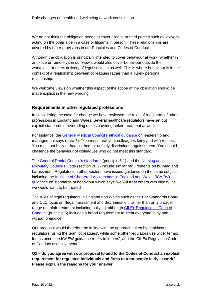We do not think the obligation needs to cover clients, or third parties such as lawyers acting on the other side in a case or litigants in person. These relationships are covered by other provisions in our Principles and Codes of Conduct.

Although the obligation is principally intended to cover behaviour at work (whether in an office or remotely), in our view it would also cover behaviour outside the workplace or direct delivery of legal services as well. This is where behaviour is in the context of a relationship between colleagues rather than a purely personal relationship.

We welcome views on whether this aspect of the scope of the obligation should be made explicit in the new wording.

#### **Requirements in other regulated professions**

In considering the case for change we have reviewed the rules of regulators of other professions in England and Wales. Several healthcare regulators have set out explicit standards or overriding duties covering unfair treatment at work.

For instance, the [General Medical Council's ethical guidance](https://www.gmc-uk.org/ethical-guidance/ethical-guidance-for-doctors/leadership-and-management-for-all-doctors/working-with-colleagues#respect-for-colleagues) on leadership and management says (para 7): 'You must treat your colleagues fairly and with respect. You must not bully or harass them or unfairly discriminate against them. You should challenge the behaviour of colleagues who do not meet this standard*.*'

The [General Dental Council's standards](https://standards.gdc-uk.org/pages/principle6/principle6.aspx) (principle 6.1) and the [Nursing and](https://www.nmc.org.uk/globalassets/sitedocuments/nmc-publications/nmc-code.pdf)  [Midwifery Council's Code](https://www.nmc.org.uk/globalassets/sitedocuments/nmc-publications/nmc-code.pdf) (section 20.2) include similar requirements on bullying and harassment. Regulators in other sectors have issued guidance on the same subject, including the [Institute of Chartered Accountants in England and Wales \(ICAEW\)](https://www.icaew.com/about-icaew/who-we-are/our-business-values-and-standards-of-behaviour#respect)  [guidance](https://www.icaew.com/about-icaew/who-we-are/our-business-values-and-standards-of-behaviour#respect) on standards of behaviour which says 'we will treat others with dignity, as we would want to be treated'.

The rules of legal regulators in England and Wales such as the Bar Standards Board and CLC focus on illegal harassment and discrimination, rather than on a broader range of unfair treatment including bullying, although [CILEx Regulation's Code of](https://cilexregulation.org.uk/wp-content/uploads/2018/11/2.-Code-of-Conduct-2019.pdf)  [Conduct](https://cilexregulation.org.uk/wp-content/uploads/2018/11/2.-Code-of-Conduct-2019.pdf) (principle 6) includes a broad requirement to 'treat everyone fairly and without prejudice'.

Our proposal would therefore be in line with the approach taken by healthcare regulators, using the term 'colleagues', while some other regulators use wider terms; for instance, the ICAEW guidance refers to 'others', and the CILEx Regulation Code of Conduct uses 'everyone'.

**Q1 – do you agree with our proposal to add to the Codes of Conduct an explicit requirement for regulated individuals and firms to treat people fairly at work? Please explain the reasons for your answer.**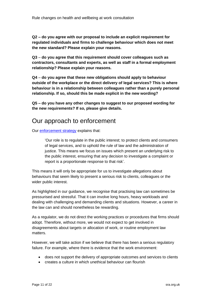**Q2 – do you agree with our proposal to include an explicit requirement for regulated individuals and firms to challenge behaviour which does not meet the new standard? Please explain your reasons.**

**Q3** – **do you agree that this requirement should cover colleagues such as contractors, consultants and experts, as well as staff in a formal employment relationship? Please explain your reasons.**

**Q4** – **do you agree that these new obligations should apply to behaviour outside of the workplace or the direct delivery of legal services? This is where behaviour is in a relationship between colleagues rather than a purely personal relationship. If so, should this be made explicit in the new wording?**

**Q5 – do you have any other changes to suggest to our proposed wording for the new requirements? If so, please give details.**

### <span id="page-10-0"></span>Our approach to enforcement

Our [enforcement strategy](https://www.sra.org.uk/sra/corporate-strategy/sra-enforcement-strategy/) explains that:

'Our role is to regulate in the public interest; to protect clients and consumers of legal services, and to uphold the rule of law and the administration of justice. This means we focus on issues which present an underlying risk to the public interest, ensuring that any decision to investigate a complaint or report is a proportionate response to that risk'.

This means it will only be appropriate for us to investigate allegations about behaviours that seem likely to present a serious risk to clients, colleagues or the wider public interest.

As highlighted in our guidance, we recognise that practising law can sometimes be pressurised and stressful. That it can involve long hours, heavy workloads and dealing with challenging and demanding clients and situations. However, a career in the law can and should nonetheless be rewarding.

As a regulator, we do not direct the working practices or procedures that firms should adopt. Therefore, without more, we would not expect to get involved in disagreements about targets or allocation of work, or routine employment law matters.

However, we will take action if we believe that there has been a serious regulatory failure. For example, where there is evidence that the work environment:

- does not support the delivery of appropriate outcomes and services to clients
- creates a culture in which unethical behaviour can flourish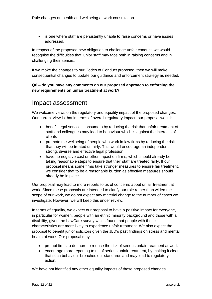• is one where staff are persistently unable to raise concerns or have issues addressed.

In respect of the proposed new obligation to challenge unfair conduct, we would recognise the difficulties that junior staff may face both in raising concerns and in challenging their seniors.

If we make the changes to our Codes of Conduct proposed, then we will make consequential changes to update our guidance and enforcement strategy as needed.

#### **Q6 – do you have any comments on our proposed approach to enforcing the new requirements on unfair treatment at work?**

### <span id="page-11-0"></span>Impact assessment

We welcome views on the regulatory and equality impact of the proposed changes. Our current view is that in terms of overall regulatory impact, our proposal would:

- benefit legal services consumers by reducing the risk that unfair treatment of staff and colleagues may lead to behaviour which is against the interests of clients
- promote the wellbeing of people who work in law firms by reducing the risk that they will be treated unfairly. This would encourage an independent, strong, diverse and effective legal profession
- have no negative cost or other impact on firms, which should already be taking reasonable steps to ensure that their staff are treated fairly. If our proposal means some firms take stronger measures to ensure fair treatment, we consider that to be a reasonable burden as effective measures should already be in place.

Our proposal may lead to more reports to us of concerns about unfair treatment at work. Since these proposals are intended to clarify our role rather than widen the scope of our work, we do not expect any material change to the number of cases we investigate. However, we will keep this under review.

In terms of equality, we expect our proposal to have a positive impact for everyone, in particular for women, people with an ethnic minority background and those with a disability, given the LawCare survey which found that people with these characteristics are more likely to experience unfair treatment. We also expect the proposal to benefit junior solicitors given the JLD's past findings on stress and mental health at work. Our proposal may:

- prompt firms to do more to reduce the risk of serious unfair treatment at work
- encourage more reporting to us of serious unfair treatment, by making it clear that such behaviour breaches our standards and may lead to regulatory action.

We have not identified any other equality impacts of these proposed changes.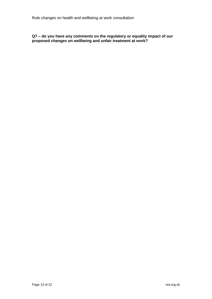**Q7 – do you have any comments on the regulatory or equality impact of our proposed changes on wellbeing and unfair treatment at work?**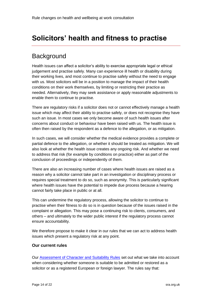# <span id="page-13-0"></span>**Solicitors' health and fitness to practise**

### <span id="page-13-1"></span>**Background**

Health issues can affect a solicitor's ability to exercise appropriate legal or ethical judgement and practise safely. Many can experience ill health or disability during their working lives, and most continue to practise safely without the need to engage with us. Most solicitors will be in a position to manage the impact of their health conditions on their work themselves, by limiting or restricting their practice as needed. Alternatively, they may seek assistance or apply reasonable adjustments to enable them to continue to practise.

There are regulatory risks if a solicitor does not or cannot effectively manage a health issue which may affect their ability to practise safely, or does not recognise they have such an issue. In most cases we only become aware of such health issues after concerns about conduct or behaviour have been raised with us. The health issue is often then raised by the respondent as a defence to the allegation, or as mitigation.

In such cases, we will consider whether the medical evidence provides a complete or partial defence to the allegation, or whether it should be treated as mitigation. We will also look at whether the health issue creates any ongoing risk. And whether we need to address that risk (for example by conditions on practice) either as part of the conclusion of proceedings or independently of them.

There are also an increasing number of cases where health issues are raised as a reason why a solicitor cannot take part in an investigation or disciplinary process or requires special treatment to do so, such as anonymity. This is particularly significant where health issues have the potential to impede due process because a hearing cannot fairly take place in public or at all.

This can undermine the regulatory process, allowing the solicitor to continue to practise when their fitness to do so is in question because of the issues raised in the complaint or allegation. This may pose a continuing risk to clients, consumers, and others – and ultimately to the wider public interest if the regulatory process cannot ensure accountability.

We therefore propose to make it clear in our rules that we can act to address health issues which present a regulatory risk at any point.

#### **Our current rules**

Our [Assessment of Character and Suitability Rules](https://www.sra.org.uk/solicitors/standards-regulations/assessment-character-suitability-rules/) set out what we take into account when considering whether someone is suitable to be admitted or restored as a solicitor or as a registered European or foreign lawyer. The rules say that: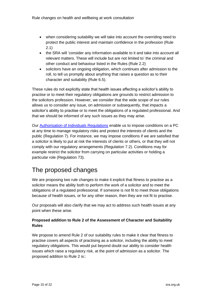- when considering suitability we will take into account the overriding need to protect the public interest and maintain confidence in the profession (Rule 2.1)
- the SRA will 'consider any information available to it and take into account all relevant matters. These will include but are not limited to' the criminal and other conduct and behaviour listed in the Rules (Rule 2.2)
- solicitors have an ongoing obligation, which continues after admission to the roll, to tell us promptly about anything that raises a question as to their character and suitability (Rule 6.5).

These rules do not explicitly state that health issues affecting a solicitor's ability to practise or to meet their regulatory obligations are grounds to restrict admission to the solicitors profession. However, we consider that the wide scope of our rules allows us to consider any issue, on admission or subsequently, that impacts a solicitor's ability to practise or to meet the obligations of a regulated professional. And that we should be informed of any such issues as they may arise.

Our [Authorisation of Individuals Regulations](https://www.sra.org.uk/solicitors/standards-regulations/authorisation-individuals-regulations/) enable us to impose conditions on a PC at any time to manage regulatory risks and protect the interests of clients and the public (Regulation 7). For instance, we may impose conditions if we are satisfied that a solicitor is likely to put at risk the interests of clients or others, or that they will not comply with our regulatory arrangements (Regulation 7.2). Conditions may for example restrict the solicitor from carrying on particular activities or holding a particular role (Regulation 73).

## <span id="page-14-0"></span>The proposed changes

We are proposing two rule changes to make it explicit that fitness to practise as a solicitor means the ability both to perform the work of a solicitor and to meet the obligations of a regulated professional. If someone is not fit to meet those obligations because of health issues, or for any other reason, then they are not fit to practise.

Our proposals will also clarify that we may act to address such health issues at any point when these arise.

#### **Proposed addition to Rule 2 of the Assessment of Character and Suitability Rules**

We propose to amend Rule 2 of our suitability rules to make it clear that fitness to practise covers all aspects of practising as a solicitor, including the ability to meet regulatory obligations. This would put beyond doubt our ability to consider health issues which raise a regulatory risk, at the point of admission as a solicitor. The proposed addition to Rule 2 is::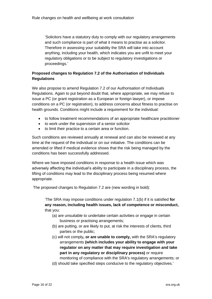'Solicitors have a statutory duty to comply with our regulatory arrangements and such compliance is part of what it means to practise as a solicitor. Therefore in assessing your suitability the SRA will take into account anything, including your health, which indicates you are unfit to meet your regulatory obligations or to be subject to regulatory investigations or proceedings.'

#### **Proposed changes to Regulation 7.2 of the Authorisation of Individuals Regulations**

We also propose to amend Regulation 7.2 of our Authorisation of Individuals Regulations. Again to put beyond doubt that, where appropriate, we may refuse to issue a PC (or grant registration as a European or foreign lawyer), or impose conditions on a PC (or registration), to address concerns about fitness to practise on health grounds. Conditions might include a requirement for the individual:

- to follow treatment recommendations of an appropriate healthcare practitioner
- to work under the supervision of a senior solicitor
- to limit their practice to a certain area or function.

Such conditions are reviewed annually at renewal and can also be reviewed at any time at the request of the individual or on our initiative. The conditions can be amended or lifted if medical evidence shows that the risk being managed by the conditions has been successfully addressed.

Where we have imposed conditions in response to a health issue which was adversely affecting the individual's ability to participate in a disciplinary process, the lifting of conditions may lead to the disciplinary process being resumed where appropriate.

The proposed changes to Regulation 7.2 are (new wording in bold):

'The SRA may impose conditions under regulation 7.1(b) if it is satisfied **for any reason, including health issues, lack of competence or misconduct,**  that you:

- (a) are unsuitable to undertake certain activities or engage in certain business or practising arrangements;
- (b) are putting, or are likely to put, at risk the interests of clients, third parties or the public;
- (c) will not comply**, or are unable to comply,** with the SRA's regulatory arrangements **(which includes your ability to engage with your regulator on any matter that may require investigation and take part in any regulatory or disciplinary process)** or require monitoring of compliance with the SRA's regulatory arrangements; or
- (d) should take specified steps conducive to the regulatory objectives.'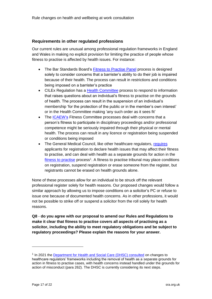#### **Requirements in other regulated professions**

Our current rules are unusual among professional regulation frameworks in England and Wales in making no explicit provision for limiting the practice of people whose fitness to practise is affected by health issues. For instance:

- The Bar Standards Board's [Fitness to Practise Panel](https://www.barstandardsboard.org.uk/about-us/how-we-regulate/the-decisions-we-take/decisions-about-barristers-fitness-to-practise.html) process is designed solely to consider concerns that a barrister's ability to do their job is impaired because of their health. The process can result in restrictions and conditions being imposed on a barrister's practice
- CILEx Regulation has a [Health Committee](https://cilexregulation.org.uk/wp-content/uploads/2018/12/Enforcement-Handbook-Annex-5.pdf) process to respond to information that raises questions about an individual's fitness to practise on the grounds of health. The process can result in the suspension of an individual's membership 'for the protection of the public or in the member's own interest' or in the Health Committee making 'any such order as it sees fit'
- The [ICAEW's](https://www.icaew.com/-/media/corporate/files/members/regulations-standards-and-guidance/legal-services-disciplinary-bye-laws.ashx?la=en) Fitness Committee processes deal with concerns that a person's fitness to participate in disciplinary proceedings and/or professional competence might be seriously impaired through their physical or mental health. The process can result in any licence or registration being suspended or conditions being imposed
- The General Medical Council, like other healthcare regulators, [requires](https://www.gmc-uk.org/-/media/documents/current-health-and-ftp-guidance_pdf-78763009.pdf) applicants for registration to declare health issues that may affect their fitness to practise, and can deal with health as a separate grounds for action in the [fitness to practise](https://www.gmc-uk.org/-/media/documents/DC4541_The_GMC_s_Fitness_to_Practise_procedures.pdf_25416512.pdf) process<sup>1</sup>. A fitness to practise tribunal may place conditions on registration, suspend registration or erase someone from the register, but registrants cannot be erased on health grounds alone.

None of these processes allow for an individual to be struck off the relevant professional register solely for health reasons. Our proposed changes would follow a similar approach by allowing us to impose conditions on a solicitor's PC or refuse to issue one because of documented health concerns. As in other professions, it would not be possible to strike off or suspend a solicitor from the roll solely for health reasons.

**Q8** - **do you agree with our proposal to amend our Rules and Regulations to make it clear that fitness to practise covers all aspects of practising as a solicitor, including the ability to meet regulatory obligations and be subject to regulatory proceedings? Please explain the reasons for your answer.**

<sup>&</sup>lt;sup>1</sup> In 2021 the [Department for Health and Social Care \(DHSC\) consulted](https://www.gov.uk/government/consultations/regulating-healthcare-professionals-protecting-the-public) on changes to healthcare regulators' frameworks including the removal of health as a separate grounds for action in fitness to practise cases, with health concerns instead handled under the grounds for action of misconduct (para 262). The DHSC is currently considering its next steps.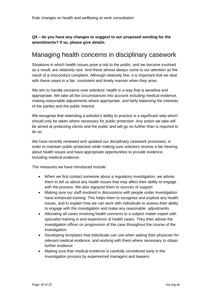**Q9 – do you have any changes to suggest to our proposed wording for the amendments? If so, please give details.**

### <span id="page-17-0"></span>Managing health concerns in disciplinary casework

Situations in which health issues pose a risk to the public, and we become involved as a result, are relatively rare. And these almost always come to our attention as the result of a misconduct complaint. Although relatively few, it is important that we deal with these cases in a fair, consistent and timely manner when they arise.

We aim to handle concerns over solicitors' health in a way that is sensitive and appropriate. We take all the circumstances into account including medical evidence, making reasonable adjustments where appropriate, and fairly balancing the interests of the parties and the public interest.

We recognise that restricting a solicitor's ability to practice is a significant step which should only be taken where necessary for public protection. Any action we take will be aimed at protecting clients and the public and will go no further than is required to do so.

We have recently reviewed and updated our disciplinary casework processes; in order to maintain public protection while making sure solicitors receive a fair hearing about health issues and have appropriate opportunities to provide evidence, including medical evidence.

The measures we have introduced include:

- When we first contact someone about a regulatory investigation, we advise them to tell us about any health issues that may affect their ability to engage with the process. We also signpost them to sources of support
- Making sure our staff involved in discussions with people under investigation have enhanced training. This helps them to recognise and explore any health issues, and to explain how we can work with individuals to assess their ability to engage with the investigation and make any reasonable adjustments
- Allocating all cases involving health concerns to a subject matter expert with specialist training in and experience of health cases. They then advise the investigation officer on progression of the case throughout the course of the investigation
- Developing templates that individuals can use when asking their physician for relevant medical evidence, and working with them where necessary to obtain further evidence
- Making sure that medical evidence is carefully considered early in the investigation process by experienced managers and lawyers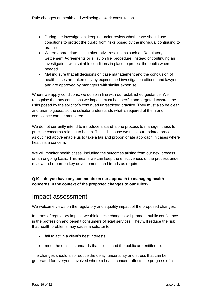- During the investigation, keeping under review whether we should use conditions to protect the public from risks posed by the individual continuing to practise
- Where appropriate, using alternative resolutions such as Regulatory Settlement Agreements or a 'lay on file' procedure, instead of continuing an investigation, with suitable conditions in place to protect the public where needed
- Making sure that all decisions on case management and the conclusion of health cases are taken only by experienced investigation officers and lawyers and are approved by managers with similar expertise.

Where we apply conditions, we do so in line with our established guidance. We recognise that any conditions we impose must be specific and targeted towards the risks posed by the solicitor's continued unrestricted practice. They must also be clear and unambiguous, so the solicitor understands what is required of them and compliance can be monitored.

We do not currently intend to introduce a stand-alone process to manage fitness to practise concerns relating to health. This is because we think our updated processes as outlined above enable us to take a fair and proportionate approach in cases where health is a concern.

We will monitor health cases, including the outcomes arising from our new process, on an ongoing basis. This means we can keep the effectiveness of the process under review and report on key developments and trends as required.

#### **Q10 – do you have any comments on our approach to managing health concerns in the context of the proposed changes to our rules?**

### <span id="page-18-0"></span>Impact assessment

We welcome views on the regulatory and equality impact of the proposed changes.

In terms of regulatory impact, we think these changes will promote public confidence in the profession and benefit consumers of legal services. They will reduce the risk that health problems may cause a solicitor to:

- fail to act in a client's best interests
- meet the ethical standards that clients and the public are entitled to.

The changes should also reduce the delay, uncertainty and stress that can be generated for everyone involved where a health concern affects the progress of a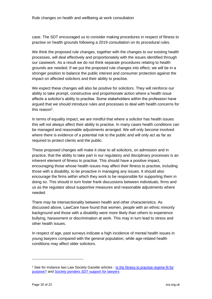case. The SDT encouraged us to consider making procedures in respect of fitness to practise on health grounds following a 2019 consultation on its procedural rules.

We think the proposed rule changes, together with the changes to our existing health processes, will deal effectively and proportionately with the issues identified through our casework. As a result we do not think separate procedures relating to health grounds are needed. If we put the proposed rule changes into effect, we will be in a stronger position to balance the public interest and consumer protection against the impact on affected solicitors and their ability to practise.

We expect these changes will also be positive for solicitors. They will reinforce our ability to take prompt, constructive and proportionate action where a health issue affects a solicitor's ability to practise. Some stakeholders within the profession have argued that we should introduce rules and processes to deal with health concerns for this reason<sup>2</sup>.

In terms of equality impact, we are mindful that where a solicitor has health issues this will not always affect their ability to practise. In many cases health conditions can be managed and reasonable adjustments arranged. We will only become involved where there is evidence of a potential risk to the public and will only act as far as required to protect clients and the public.

These proposed changes will make it clear to all solicitors, on admission and in practice, that the ability to take part in our regulatory and disciplinary processes is an inherent element of fitness to practise. This should have a positive impact, encouraging those whose health issues may affect their fitness to practise, including those with a disability, to be proactive in managing any issues. It should also encourage the firms within which they work to be responsible for supporting them in doing so. This should in turn foster frank discussions between individuals, firms and us as the regulator about supportive measures and reasonable adjustments where needed.

There may be intersectionality between health and other characteristics. As discussed above, LawCare have found that women, people with an ethnic minority background and those with a disability were more likely than others to experience bullying, harassment or discrimination at work. This may in turn lead to stress and other health issues.

In respect of age, past surveys indicate a high incidence of mental health issues in young lawyers compared with the general population, while age-related health conditions may affect older solicitors.

<sup>&</sup>lt;sup>2</sup> See for instance two Law Society Gazette articles - Is the fitness to practise regime fit for [purpose?](https://www.lawgazette.co.uk/commentary-and-opinion/is-the-fitness-to-practise-regime-fit-for-purpose/5070151.article) and [Society ponders SDT support for lawyers](https://www.lawgazette.co.uk/news/society-ponders-sdt-support-for-lawyers/5110111.article)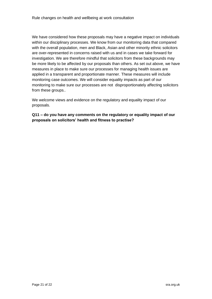We have considered how these proposals may have a negative impact on individuals within our disciplinary processes. We know from our monitoring data that compared with the overall population, men and Black, Asian and other minority ethnic solicitors are over-represented in concerns raised with us and in cases we take forward for investigation. We are therefore mindful that solicitors from these backgrounds may be more likely to be affected by our proposals than others. As set out above, we have measures in place to make sure our processes for managing health issues are applied in a transparent and proportionate manner. These measures will include monitoring case outcomes. We will consider equality impacts as part of our monitoring to make sure our processes are not disproportionately affecting solicitors from these groups..

We welcome views and evidence on the regulatory and equality impact of our proposals.

**Q11 – do you have any comments on the regulatory or equality impact of our proposals on solicitors' health and fitness to practise?**